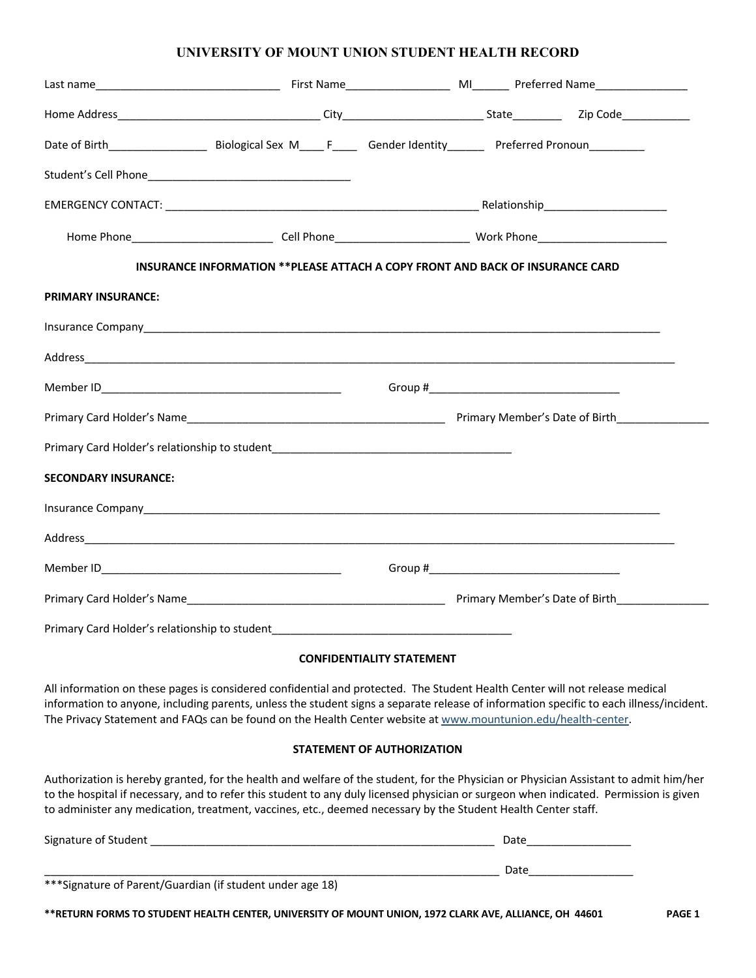## **UNIVERSITY OF MOUNT UNION STUDENT HEALTH RECORD**

|                                                                                                                                                                                                                                     | INSURANCE INFORMATION ** PLEASE ATTACH A COPY FRONT AND BACK OF INSURANCE CARD |                                                                                                                |  |  |
|-------------------------------------------------------------------------------------------------------------------------------------------------------------------------------------------------------------------------------------|--------------------------------------------------------------------------------|----------------------------------------------------------------------------------------------------------------|--|--|
| <b>PRIMARY INSURANCE:</b>                                                                                                                                                                                                           |                                                                                |                                                                                                                |  |  |
|                                                                                                                                                                                                                                     |                                                                                |                                                                                                                |  |  |
|                                                                                                                                                                                                                                     |                                                                                |                                                                                                                |  |  |
|                                                                                                                                                                                                                                     |                                                                                |                                                                                                                |  |  |
|                                                                                                                                                                                                                                     |                                                                                |                                                                                                                |  |  |
| Primary Card Holder's relationship to student___________________________________                                                                                                                                                    |                                                                                |                                                                                                                |  |  |
| <b>SECONDARY INSURANCE:</b>                                                                                                                                                                                                         |                                                                                |                                                                                                                |  |  |
| Insurance Company <b>Example 2018</b> Company and Company and Company and Company and Company and Company and Company and Company and Company and Company and Company and Company and Company and Company and Company and Company a |                                                                                |                                                                                                                |  |  |
|                                                                                                                                                                                                                                     |                                                                                |                                                                                                                |  |  |
|                                                                                                                                                                                                                                     |                                                                                | Group # The Contract of the Contract of the Contract of the Contract of the Contract of the Contract of the Co |  |  |
|                                                                                                                                                                                                                                     |                                                                                |                                                                                                                |  |  |
| Primary Card Holder's relationship to student___________________________________                                                                                                                                                    |                                                                                |                                                                                                                |  |  |
|                                                                                                                                                                                                                                     |                                                                                |                                                                                                                |  |  |

### **CONFIDENTIALITY STATEMENT**

All information on these pages is considered confidential and protected. The Student Health Center will not release medical information to anyone, including parents, unless the student signs a separate release of information specific to each illness/incident. The Privacy Statement and FAQs can be found on the Health Center website at www.mountunion.edu/health-center.

#### **STATEMENT OF AUTHORIZATION**

Authorization is hereby granted, for the health and welfare of the student, for the Physician or Physician Assistant to admit him/her to the hospital if necessary, and to refer this student to any duly licensed physician or surgeon when indicated. Permission is given to administer any medication, treatment, vaccines, etc., deemed necessary by the Student Health Center staff.

| Signature of Student                                       | Date |
|------------------------------------------------------------|------|
| *** Signature of Parent/Guardian (if student under age 18) | Date |
|                                                            |      |

**\*\*RETURN FORMS TO STUDENT HEALTH CENTER, UNIVERSITY OF MOUNT UNION, 1972 CLARK AVE, ALLIANCE, OH 44601 PAGE 1**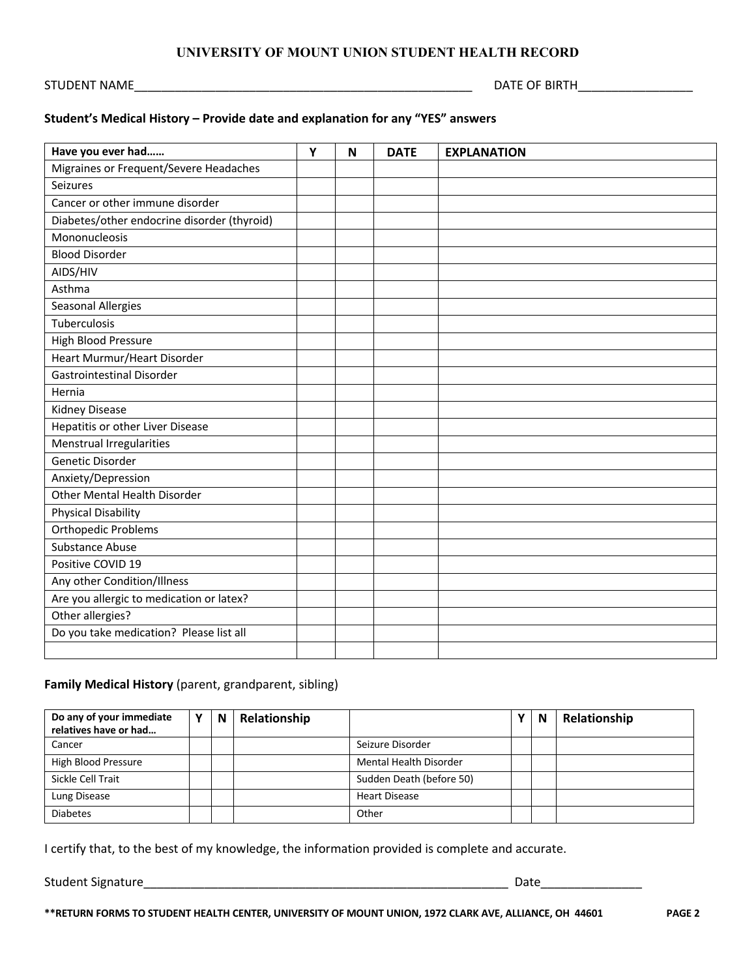## **UNIVERSITY OF MOUNT UNION STUDENT HEALTH RECORD**

STUDENT NAME\_\_\_\_\_\_\_\_\_\_\_\_\_\_\_\_\_\_\_\_\_\_\_\_\_\_\_\_\_\_\_\_\_\_\_\_\_\_\_\_\_\_\_\_\_\_\_\_\_\_ DATE OF BIRTH\_\_\_\_\_\_\_\_\_\_\_\_\_\_\_\_\_

# **Student's Medical History – Provide date and explanation for any "YES" answers**

| Have you ever had                           | Y | N | <b>DATE</b> | <b>EXPLANATION</b> |
|---------------------------------------------|---|---|-------------|--------------------|
| Migraines or Frequent/Severe Headaches      |   |   |             |                    |
| Seizures                                    |   |   |             |                    |
| Cancer or other immune disorder             |   |   |             |                    |
| Diabetes/other endocrine disorder (thyroid) |   |   |             |                    |
| Mononucleosis                               |   |   |             |                    |
| <b>Blood Disorder</b>                       |   |   |             |                    |
| AIDS/HIV                                    |   |   |             |                    |
| Asthma                                      |   |   |             |                    |
| <b>Seasonal Allergies</b>                   |   |   |             |                    |
| Tuberculosis                                |   |   |             |                    |
| High Blood Pressure                         |   |   |             |                    |
| Heart Murmur/Heart Disorder                 |   |   |             |                    |
| <b>Gastrointestinal Disorder</b>            |   |   |             |                    |
| Hernia                                      |   |   |             |                    |
| Kidney Disease                              |   |   |             |                    |
| Hepatitis or other Liver Disease            |   |   |             |                    |
| Menstrual Irregularities                    |   |   |             |                    |
| Genetic Disorder                            |   |   |             |                    |
| Anxiety/Depression                          |   |   |             |                    |
| Other Mental Health Disorder                |   |   |             |                    |
| <b>Physical Disability</b>                  |   |   |             |                    |
| <b>Orthopedic Problems</b>                  |   |   |             |                    |
| Substance Abuse                             |   |   |             |                    |
| Positive COVID 19                           |   |   |             |                    |
| Any other Condition/Illness                 |   |   |             |                    |
| Are you allergic to medication or latex?    |   |   |             |                    |
| Other allergies?                            |   |   |             |                    |
| Do you take medication? Please list all     |   |   |             |                    |
|                                             |   |   |             |                    |

## **Family Medical History** (parent, grandparent, sibling)

| Do any of your immediate<br>relatives have or had | N | Relationship |                               | N | Relationship |
|---------------------------------------------------|---|--------------|-------------------------------|---|--------------|
| Cancer                                            |   |              | Seizure Disorder              |   |              |
| High Blood Pressure                               |   |              | <b>Mental Health Disorder</b> |   |              |
| Sickle Cell Trait                                 |   |              | Sudden Death (before 50)      |   |              |
| Lung Disease                                      |   |              | <b>Heart Disease</b>          |   |              |
| <b>Diabetes</b>                                   |   |              | Other                         |   |              |

I certify that, to the best of my knowledge, the information provided is complete and accurate.

Student Signature et al. 2010 and 2010 and 2010 and 2010 and 2010 and 2010 and 2010 and 2010 and 2010 and 2010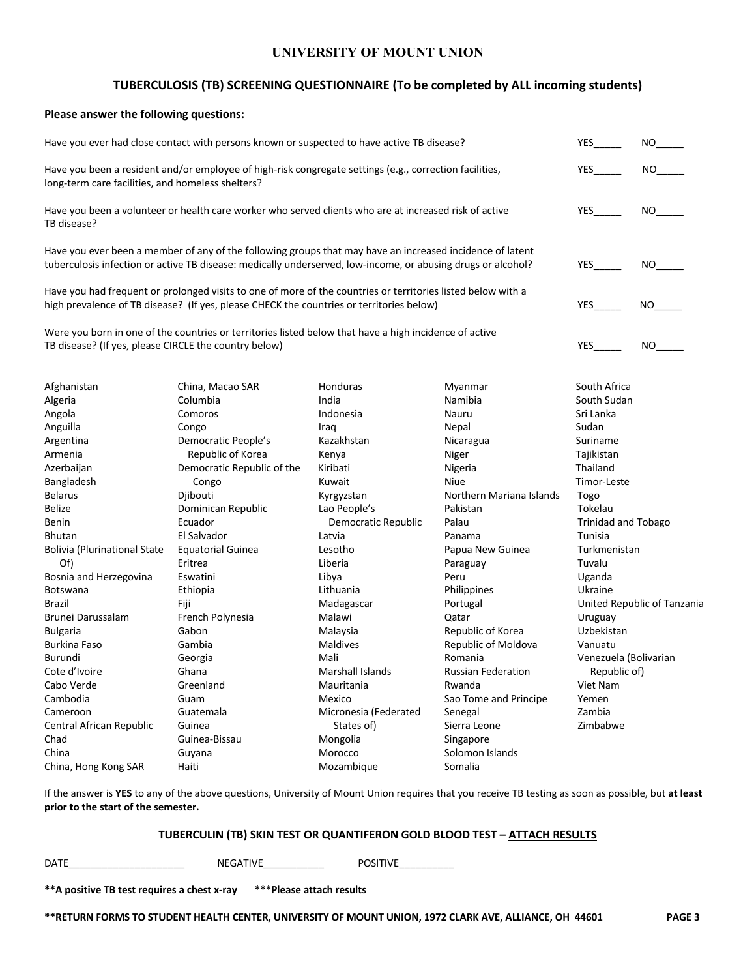## **UNIVERSITY OF MOUNT UNION**

# **TUBERCULOSIS (TB) SCREENING QUESTIONNAIRE (To be completed by ALL incoming students)**

#### **Please answer the following questions:**

| Have you ever had close contact with persons known or suspected to have active TB disease?                                                                                                                                | <b>YES</b>                                                                                                                                                                                               | NO.                     |                           |                            |                             |
|---------------------------------------------------------------------------------------------------------------------------------------------------------------------------------------------------------------------------|----------------------------------------------------------------------------------------------------------------------------------------------------------------------------------------------------------|-------------------------|---------------------------|----------------------------|-----------------------------|
| Have you been a resident and/or employee of high-risk congregate settings (e.g., correction facilities,<br>long-term care facilities, and homeless shelters?                                                              | <b>YES</b>                                                                                                                                                                                               | NO.                     |                           |                            |                             |
| Have you been a volunteer or health care worker who served clients who are at increased risk of active<br>TB disease?                                                                                                     | <b>YES</b>                                                                                                                                                                                               | NO.                     |                           |                            |                             |
| Have you ever been a member of any of the following groups that may have an increased incidence of latent<br>tuberculosis infection or active TB disease: medically underserved, low-income, or abusing drugs or alcohol? | <b>YES</b>                                                                                                                                                                                               | NO.                     |                           |                            |                             |
|                                                                                                                                                                                                                           | Have you had frequent or prolonged visits to one of more of the countries or territories listed below with a<br>high prevalence of TB disease? (If yes, please CHECK the countries or territories below) |                         |                           | YES                        | NO.                         |
| TB disease? (If yes, please CIRCLE the country below)                                                                                                                                                                     | Were you born in one of the countries or territories listed below that have a high incidence of active                                                                                                   |                         |                           | <b>YES</b>                 | NO.                         |
| Afghanistan                                                                                                                                                                                                               | China, Macao SAR                                                                                                                                                                                         | Honduras                | Myanmar                   | South Africa               |                             |
| Algeria                                                                                                                                                                                                                   | Columbia                                                                                                                                                                                                 | India                   | Namibia                   | South Sudan                |                             |
| Angola                                                                                                                                                                                                                    | Comoros                                                                                                                                                                                                  | Indonesia               | Nauru                     | Sri Lanka                  |                             |
| Anguilla                                                                                                                                                                                                                  | Congo                                                                                                                                                                                                    | Iraq                    | Nepal                     | Sudan                      |                             |
| Argentina                                                                                                                                                                                                                 | Democratic People's                                                                                                                                                                                      | Kazakhstan              | Nicaragua                 | Suriname                   |                             |
| Armenia                                                                                                                                                                                                                   | Republic of Korea                                                                                                                                                                                        | Kenya                   | Niger                     | Tajikistan                 |                             |
| Azerbaijan                                                                                                                                                                                                                | Democratic Republic of the                                                                                                                                                                               | Kiribati                | Nigeria                   | Thailand                   |                             |
|                                                                                                                                                                                                                           |                                                                                                                                                                                                          | Kuwait                  | <b>Niue</b>               | Timor-Leste                |                             |
| Bangladesh                                                                                                                                                                                                                | Congo                                                                                                                                                                                                    |                         |                           |                            |                             |
| <b>Belarus</b>                                                                                                                                                                                                            | Djibouti                                                                                                                                                                                                 | Kyrgyzstan              | Northern Mariana Islands  | Togo                       |                             |
| <b>Belize</b>                                                                                                                                                                                                             | Dominican Republic                                                                                                                                                                                       | Lao People's            | Pakistan                  | Tokelau                    |                             |
| Benin                                                                                                                                                                                                                     | Ecuador                                                                                                                                                                                                  | Democratic Republic     | Palau                     | <b>Trinidad and Tobago</b> |                             |
| <b>Bhutan</b>                                                                                                                                                                                                             | El Salvador                                                                                                                                                                                              | Latvia                  | Panama                    | Tunisia                    |                             |
| <b>Bolivia (Plurinational State</b>                                                                                                                                                                                       | <b>Equatorial Guinea</b>                                                                                                                                                                                 | Lesotho                 | Papua New Guinea          | Turkmenistan               |                             |
| Of)                                                                                                                                                                                                                       | Eritrea                                                                                                                                                                                                  | Liberia                 | Paraguay                  | Tuvalu                     |                             |
| Bosnia and Herzegovina                                                                                                                                                                                                    | Eswatini                                                                                                                                                                                                 | Libya                   | Peru                      | Uganda                     |                             |
| Botswana                                                                                                                                                                                                                  | Ethiopia                                                                                                                                                                                                 | Lithuania               | Philippines               | Ukraine                    |                             |
| <b>Brazil</b>                                                                                                                                                                                                             | Fiji                                                                                                                                                                                                     | Madagascar              | Portugal                  |                            | United Republic of Tanzania |
| Brunei Darussalam                                                                                                                                                                                                         | French Polynesia                                                                                                                                                                                         | Malawi                  | Qatar                     | Uruguay                    |                             |
| <b>Bulgaria</b>                                                                                                                                                                                                           | Gabon                                                                                                                                                                                                    | Malaysia                | Republic of Korea         | Uzbekistan                 |                             |
| <b>Burkina Faso</b>                                                                                                                                                                                                       | Gambia                                                                                                                                                                                                   | Maldives                | Republic of Moldova       | Vanuatu                    |                             |
| Burundi                                                                                                                                                                                                                   | Georgia                                                                                                                                                                                                  | Mali                    | Romania                   | Venezuela (Bolivarian      |                             |
| Cote d'Ivoire                                                                                                                                                                                                             | Ghana                                                                                                                                                                                                    | <b>Marshall Islands</b> | <b>Russian Federation</b> | Republic of)               |                             |
| Cabo Verde                                                                                                                                                                                                                | Viet Nam                                                                                                                                                                                                 |                         |                           |                            |                             |
| Cambodia                                                                                                                                                                                                                  | Guam                                                                                                                                                                                                     | Mexico                  | Sao Tome and Principe     | Yemen                      |                             |
| Cameroon                                                                                                                                                                                                                  | Guatemala                                                                                                                                                                                                | Micronesia (Federated   | Senegal                   | Zambia                     |                             |
| Central African Republic                                                                                                                                                                                                  | Guinea<br>States of)<br>Sierra Leone                                                                                                                                                                     |                         |                           | Zimbabwe                   |                             |
| Chad                                                                                                                                                                                                                      | Guinea-Bissau                                                                                                                                                                                            | Mongolia                | Singapore                 |                            |                             |
| China                                                                                                                                                                                                                     | Guyana                                                                                                                                                                                                   | Morocco                 | Solomon Islands           |                            |                             |

If the answer is **YES** to any of the above questions, University of Mount Union requires that you receive TB testing as soon as possible, but **at least prior to the start of the semester.** 

#### **TUBERCULIN (TB) SKIN TEST OR QUANTIFERON GOLD BLOOD TEST – ATTACH RESULTS**

DATE\_\_\_\_\_\_\_\_\_\_\_\_\_\_\_\_\_\_\_\_\_ NEGATIVE\_\_\_\_\_\_\_\_\_\_\_ POSITIVE\_\_\_\_\_\_\_\_\_\_

| **A positive TB test requires a chest x-ray | ***Please attach results |
|---------------------------------------------|--------------------------|
|                                             |                          |

**\*\*RETURN FORMS TO STUDENT HEALTH CENTER, UNIVERSITY OF MOUNT UNION, 1972 CLARK AVE, ALLIANCE, OH 44601 PAGE 3**

China, Hong Kong SAR Haiti Mozambique Somalia